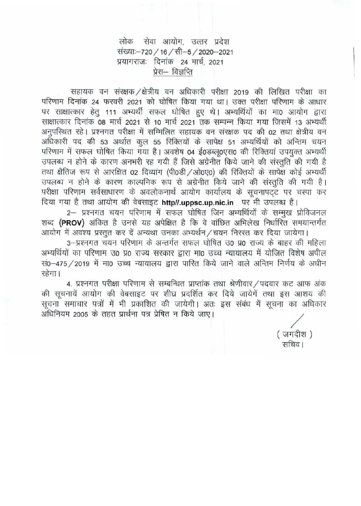## लोक सेवा आयोग, उत्तर प्रदेश संख्याः-720 / 16 / सी-5 / 2020-2021 प्रयागराजः दिनांक 24 मार्च 2021 प्रेस— विज्ञप्ति

सहायक वन संरक्षक / क्षेत्रीय वन अधिकारी परीक्षा 2019 की लिखित परीक्षा का परिणाम दिनांक 24 फरवरी 2021 को घोषित किया गया था। उक्त परीक्षा परिणाम के आधार पर साक्षात्कार हेतू 111 अभ्यर्थी सफल घोषित हुए थे। अभ्यर्थियों का मा0 आयोग द्वारा साक्षात्कार दिनांक 08 मार्च 2021 से 10 मार्च 2021 तक सम्पन्न किया गया जिसमें 13 अभ्यर्थी अनुपरिथत रहे। प्रश्नगत परीक्षा में सम्मिलित सहायक वन संरक्षक पद की 02 तथा क्षेत्रीय वन अधिकारी पद की 53 अर्थात कूल 55 रिक्तियों के सापेक्ष 51 अभ्यर्थियों को अन्तिम चयन परिणाम में सफल घोषित किया गया है। अवशेष 04 ई0डब्लू0एस0 की रिक्तियां उपयुक्त अभ्यर्थी उपलब्ध न होने के कारण अनभरी रह गयी हैं जिसे अग्रेनीत किये जाने की संस्तुति की गयी है तथा क्षैतिज रूप से आरक्षित 02 दिव्यांग (पी0डी /ओ0ए0) की रिक्तियों के सापेक्ष कोई अभ्यर्थी उपलब्ध न होने के कारण काल्पनिक रूप से अग्रेनीत किये जाने की संस्तुति की गयी है। परीक्षा परिणाम सर्वसाधारण के अवलोकनार्थ आयोग कार्यालय के सूचनापटट पर चस्पा कर दिया गया है तथा आयोग की वेबसाइट http//.uppsc.up.nic.in पर भी उपलब्ध है।

2– प्रश्नगत चयन परिणाम में सफल घोषित जिन अभ्यर्थियों के सम्मुख प्रोविजनल शब्द (PROV) अंकित है उनसे यह अपेक्षित है कि वे वांछित अभिलेख निर्धारित समयान्तर्गत आयोग में अवश्य प्रस्तुत कर दें अन्यथा उनका अभ्यर्थन / चयन निरस्त कर दिया जायेगा।

3-प्रश्नगत चयन परिणाम के अन्तर्गत सफल घोषित उ0 प्र0 राज्य के बाहर की महिला अभ्यर्थियों का परिणाम उ0 प्र0 राज्य सरकार द्वारा मा0 उच्च न्यायालय में योजित विशेष अपील सं0-475 / 2019 में मा0 उच्च न्यायालय द्वारा पारित किये जाने वाले अन्तिम निर्णय के अधीन रहेगा।

4. प्रश्नगत परीक्षा परिणाम से सम्बन्धित प्राप्तांक तथा श्रेणीवार / पदवार कट आफ अंक की सूचनायें आयोग की वेबसाइट पर शीघ्र प्रदर्शित कर दिये जायेगें तथा इस आशय की सूचना समाचार पत्रों में भी प्रकाशित की जायेगी। अतः इस संबंध में सूचना का अधिकार अधिनियम 2005 के तहत प्रार्थना पत्र प्रेषित न किये जाए।

> (जगदीश) सचिव।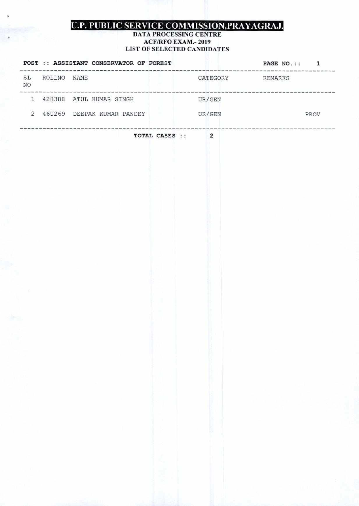# **U.P. PUBLIC SERVICE COMMISSION, PRAYAGRAJ.**

### **DATA PROCESSING CENTRE ACF/RFO EX.AM.- 2019 LIST OF SELECTED CANDIDATES**

|    |                | POST :: ASSISTANT CONSERVATOR OF FOREST |                  | <br>==============               | PAGE NO.:: 1                                                             |
|----|----------------|-----------------------------------------|------------------|----------------------------------|--------------------------------------------------------------------------|
| NO | SL ROLLNO NAME |                                         |                  |                                  | ters were start than one date date and their country<br>CATEGORY REMARKS |
|    |                | 1 428388 ATUL KUMAR SINGH               |                  | UR/GEN                           | ---------------------------------                                        |
|    |                | 2 460269 DEEPAK KUMAR PANDEY            |                  | UR/GEN                           | PROV                                                                     |
|    |                |                                         | TOTAL CASES :: 2 | -------------------------------- |                                                                          |
|    |                |                                         |                  |                                  |                                                                          |
|    |                |                                         |                  |                                  |                                                                          |
|    |                |                                         |                  |                                  |                                                                          |
|    |                |                                         |                  |                                  |                                                                          |
|    |                |                                         |                  |                                  |                                                                          |
|    |                |                                         |                  |                                  |                                                                          |
|    |                |                                         |                  |                                  |                                                                          |
|    |                |                                         |                  |                                  |                                                                          |
|    |                |                                         |                  |                                  |                                                                          |
|    |                |                                         |                  |                                  |                                                                          |
|    |                |                                         |                  |                                  |                                                                          |
|    |                |                                         |                  |                                  |                                                                          |
|    |                |                                         |                  |                                  |                                                                          |
|    |                |                                         |                  |                                  |                                                                          |
|    |                |                                         |                  |                                  |                                                                          |
|    |                |                                         |                  |                                  |                                                                          |
|    |                |                                         |                  |                                  |                                                                          |
|    |                |                                         |                  |                                  |                                                                          |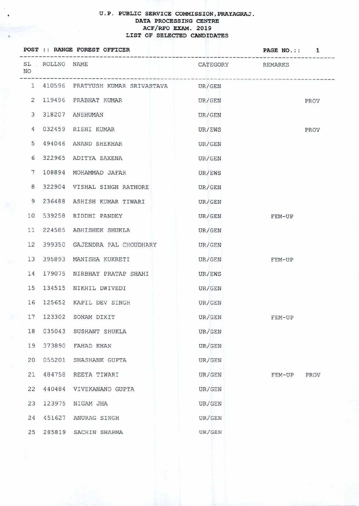#### **U.P. PUBLIC SERVICE COMMISSION, PRAYAGRAJ. DATA PROCESSING CENTRE ACF/ RFO EXAM. 2019 LIST OF SELECTED CANDIDATES**

¥

|                 |        | POST :: RANGE FOREST OFFICER              | PAGE NO.:: 1     |                |  |
|-----------------|--------|-------------------------------------------|------------------|----------------|--|
| NO              |        | SL ROLLNO NAME                            | CATEGORY REMARKS |                |  |
|                 |        | 1 410596 PRATYUSH KUMAR SRIVASTAVA UR/GEN |                  |                |  |
|                 |        | 2 119496 PRABHAT KUMAR                    | UR/GEN           | PROV           |  |
|                 |        | 3 318207 ANSHUMAN                         | UR/GEN           |                |  |
|                 |        | 4 032459 RISHI KUMAR                      | UR/EWS           | PROV           |  |
|                 |        | 5 494046 ANAND SHEKHAR                    | UR/GEN           |                |  |
| 6               |        | 322965 ADITYA SAXENA                      | UR/GEN           |                |  |
| $7\phantom{.0}$ |        | 108894 MOHAMMAD JAFAR                     | UR/EWS           |                |  |
| 8               |        | 322904 VISHAL SINGH RATHORE UR/GEN        |                  |                |  |
| 9               |        | 236488 ASHISH KUMAR TIWARI                | UR/GEN           |                |  |
|                 |        | 10 539258 RIDDHI PANDEY                   | UR/GEN FEM-UP    |                |  |
|                 |        | 11 224585 ABHISHEK SHUKLA                 | UR/GEN           |                |  |
|                 |        | 12 399350 GAJENDRA PAL CHOUDHARY UR/GEN   |                  |                |  |
|                 |        | 13 395893 MANISHA KUKRETI                 | UR/GEN           | FEM-UP         |  |
|                 |        | 14 179075 NIRBHAY PRATAP SHAHI            | UR/EWS           |                |  |
|                 |        | 15 134515 NIKHIL DWIVEDI                  | UR/GEN           |                |  |
|                 |        | 16 125652 KAPIL DEV SINGH                 | UR/GEN           |                |  |
|                 |        | 17 123302 SONAM DIXIT                     | UR/GEN           | FEM-UP         |  |
| 18              | 035043 | SUSHANT SHUKLA                            | UR/GEN           |                |  |
| 19              | 373890 | FAHAD KHAN                                | UR/GEN           |                |  |
| 20              | 055201 | SHASHANK GUPTA                            | UR/GEN           |                |  |
| 21              | 484758 | REETA TIWARI                              | UR/GEN           | FEM-UP<br>PROV |  |
| 22              | 440484 | VIVEKANAND GUPTA                          | UR/GEN           |                |  |
| 23              | 123975 | NIGAM JHA                                 | UR/GEN           |                |  |
| 24              |        | 451627 ANURAG SINGH                       | UR/GEN           |                |  |
| 25              |        | 285819 SACHIN SHARMA                      | UR/GEN           |                |  |